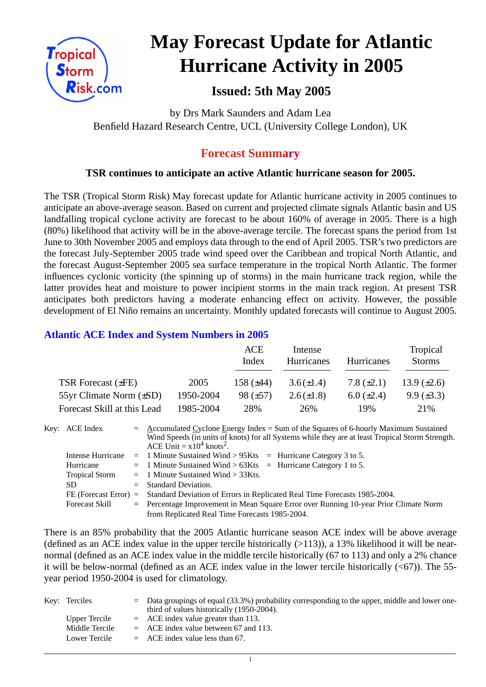

# **May Forecast Update for Atlantic Hurricane Activity in 2005**

# **Issued: 5th May 2005**

by Drs Mark Saunders and Adam Lea Benfield Hazard Research Centre, UCL (University College London), UK

## **Forecast Summary**

#### **TSR continues to anticipate an active Atlantic hurricane season for 2005.**

The TSR (Tropical Storm Risk) May forecast update for Atlantic hurricane activity in 2005 continues to anticipate an above-average season. Based on current and projected climate signals Atlantic basin and US landfalling tropical cyclone activity are forecast to be about 160% of average in 2005. There is a high (80%) likelihood that activity will be in the above-average tercile. The forecast spans the period from 1st June to 30th November 2005 and employs data through to the end of April 2005. TSR's two predictors are the forecast July-September 2005 trade wind speed over the Caribbean and tropical North Atlantic, and the forecast August-September 2005 sea surface temperature in the tropical North Atlantic. The former influences cyclonic vorticity (the spinning up of storms) in the main hurricane track region, while the latter provides heat and moisture to power incipient storms in the main track region. At present TSR anticipates both predictors having a moderate enhancing effect on activity. However, the possible development of El Niño remains an uncertainty. Monthly updated forecasts will continue to August 2005.

#### **Atlantic ACE Index and System Numbers in 2005**

|                              |           | ACE<br>Index   | Intense<br><b>Hurricanes</b> | Hurricanes        | Tropical<br><b>Storms</b> |
|------------------------------|-----------|----------------|------------------------------|-------------------|---------------------------|
| TSR Forecast $(\pm FE)$      | 2005      | 158 $(\pm 44)$ | $3.6(\pm 1.4)$               | 7.8 $(\pm 2.1)$   | 13.9 $(\pm 2.6)$          |
| 55yr Climate Norm $(\pm SD)$ | 1950-2004 | 98 $(\pm 57)$  | $2.6(\pm 1.8)$               | $6.0 \ (\pm 2.4)$ | $9.9 \ (\pm 3.3)$         |
| Forecast Skill at this Lead  | 1985-2004 | 28%            | 26%                          | 19%               | 21\%                      |

Key: ACE Index =  $\triangle$  ccumulated Cyclone Energy Index = Sum of the Squares of 6-hourly Maximum Sustained Wind Speeds (in units of knots) for all Systems while they are at least Tropical Storm Strength. ACE Unit  $= x10^4$  knots<sup>2</sup>. Intense Hurricane = 1 Minute Sustained Wind > 95Kts = Hurricane Category 3 to 5. Hurricane  $= 1$  Minute Sustained Wind  $> 63K$ ts = Hurricane Category 1 to 5. Tropical Storm = 1 Minute Sustained Wind > 33Kts.

| SD.                   | $=$ Standard Deviation.                                                                         |
|-----------------------|-------------------------------------------------------------------------------------------------|
|                       | FE (Forecast Error) = Standard Deviation of Errors in Replicated Real Time Forecasts 1985-2004. |
| <b>Forecast Skill</b> | $=$ Percentage Improvement in Mean Square Error over Running 10-year Prior Climate Norm         |
|                       | from Replicated Real Time Forecasts 1985-2004.                                                  |

There is an 85% probability that the 2005 Atlantic hurricane season ACE index will be above average (defined as an ACE index value in the upper tercile historically  $(>113)$ ), a 13% likelihood it will be nearnormal (defined as an ACE index value in the middle tercile historically (67 to 113) and only a 2% chance it will be below-normal (defined as an ACE index value in the lower tercile historically  $( $67$ )$ ). The 55year period 1950-2004 is used for climatology.

| Key: Terciles  | $\epsilon$ Data groupings of equal (33.3%) probability corresponding to the upper, middle and lower one- |
|----------------|----------------------------------------------------------------------------------------------------------|
|                | third of values historically (1950-2004).                                                                |
| Upper Tercile  | $=$ ACE index value greater than 113.                                                                    |
| Middle Tercile | $=$ ACE index value between 67 and 113.                                                                  |
| Lower Tercile  | $=$ ACE index value less than 67.                                                                        |

1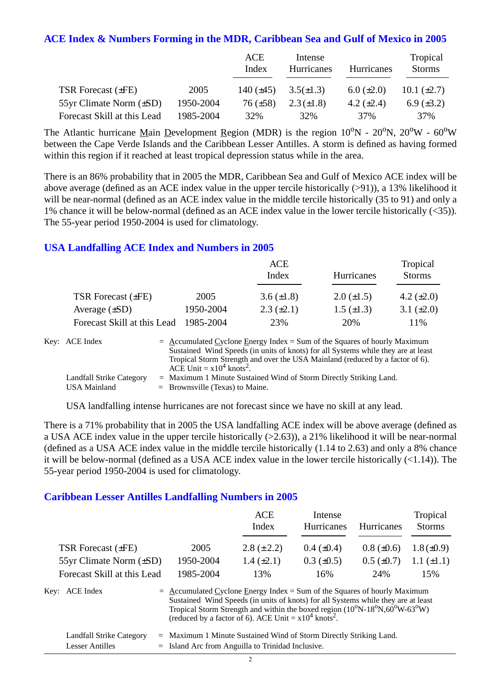#### **ACE Index & Numbers Forming in the MDR, Caribbean Sea and Gulf of Mexico in 2005**

|                              |           | ACE<br>Index   | Intense<br>Hurricanes | Hurricanes        | Tropical<br><b>Storms</b> |
|------------------------------|-----------|----------------|-----------------------|-------------------|---------------------------|
| TSR Forecast $(\pm FE)$      | 2005      | 140 $(\pm 45)$ | $3.5(\pm 1.3)$        | $6.0 \ (\pm 2.0)$ | 10.1 $(\pm 2.7)$          |
| 55yr Climate Norm $(\pm SD)$ | 1950-2004 | $76 (\pm 58)$  | $2.3(\pm 1.8)$        | 4.2 $(\pm 2.4)$   | $6.9 \ (\pm 3.2)$         |
| Forecast Skill at this Lead  | 1985-2004 | 32%            | 32%                   | 37%               | 37%                       |

The Atlantic hurricane Main Development Region (MDR) is the region  $10^{\circ}N - 20^{\circ}N$ ,  $20^{\circ}W - 60^{\circ}W$ between the Cape Verde Islands and the Caribbean Lesser Antilles. A storm is defined as having formed within this region if it reached at least tropical depression status while in the area.

There is an 86% probability that in 2005 the MDR, Caribbean Sea and Gulf of Mexico ACE index will be above average (defined as an ACE index value in the upper tercile historically (>91)), a 13% likelihood it will be near-normal (defined as an ACE index value in the middle tercile historically (35 to 91) and only a 1% chance it will be below-normal (defined as an ACE index value in the lower tercile historically (<35)). The 55-year period 1950-2004 is used for climatology.

#### **USA Landfalling ACE Index and Numbers in 2005**

|                             |           | <b>ACE</b><br>Index | Hurricanes        | Tropical<br><b>Storms</b> |
|-----------------------------|-----------|---------------------|-------------------|---------------------------|
| TSR Forecast $(\pm FE)$     | 2005      | 3.6 $(\pm 1.8)$     | $2.0 \ (\pm 1.5)$ | 4.2 $(\pm 2.0)$           |
| Average $(\pm SD)$          | 1950-2004 | $2.3 \ (\pm 2.1)$   | $1.5 \ (\pm 1.3)$ | 3.1 $(\pm 2.0)$           |
| Forecast Skill at this Lead | 1985-2004 | 23%                 | 20%               | 11%                       |

| Key: ACE Index           | $=$ Accumulated Cyclone Energy Index $=$ Sum of the Squares of hourly Maximum     |
|--------------------------|-----------------------------------------------------------------------------------|
|                          | Sustained Wind Speeds (in units of knots) for all Systems while they are at least |
|                          | Tropical Storm Strength and over the USA Mainland (reduced by a factor of 6).     |
|                          | ACE Unit = $x10^4$ knots <sup>2</sup> .                                           |
| Landfall Strike Category | $=$ Maximum 1 Minute Sustained Wind of Storm Directly Striking Land.              |
| USA Mainland             | $=$ Brownsville (Texas) to Maine.                                                 |

USA landfalling intense hurricanes are not forecast since we have no skill at any lead.

There is a 71% probability that in 2005 the USA landfalling ACE index will be above average (defined as a USA ACE index value in the upper tercile historically (>2.63)), a 21% likelihood it will be near-normal (defined as a USA ACE index value in the middle tercile historically (1.14 to 2.63) and only a 8% chance it will be below-normal (defined as a USA ACE index value in the lower tercile historically (<1.14)). The 55-year period 1950-2004 is used for climatology.

#### **Caribbean Lesser Antilles Landfalling Numbers in 2005**

|                                                                                                                                                                                                                                                                                                                                                                      |           | ACE<br>Index      | Intense<br>Hurricanes | <b>Hurricanes</b> | Tropical<br><b>Storms</b> |
|----------------------------------------------------------------------------------------------------------------------------------------------------------------------------------------------------------------------------------------------------------------------------------------------------------------------------------------------------------------------|-----------|-------------------|-----------------------|-------------------|---------------------------|
| <b>TSR Forecast (±FE)</b>                                                                                                                                                                                                                                                                                                                                            | 2005      | $2.8 (\pm 2.2)$   | $0.4~(\pm 0.4)$       | $0.8 (\pm 0.6)$   | $1.8 (\pm 0.9)$           |
| 55yr Climate Norm (±SD)                                                                                                                                                                                                                                                                                                                                              | 1950-2004 | $1.4 \ (\pm 2.1)$ | $0.3 \ (\pm 0.5)$     | $0.5 \ (\pm 0.7)$ | $1.1 (\pm 1.1)$           |
| Forecast Skill at this Lead                                                                                                                                                                                                                                                                                                                                          | 1985-2004 | 13%               | 16%                   | 24%               | 15%                       |
| Key: ACE Index<br>$=$ Accumulated Cyclone Energy Index = Sum of the Squares of hourly Maximum<br>Sustained Wind Speeds (in units of knots) for all Systems while they are at least<br>Tropical Storm Strength and within the boxed region $(10^{\circ}N-18^{\circ}N,60^{\circ}W-63^{\circ}W)$<br>(reduced by a factor of 6). ACE Unit = $x10^4$ knots <sup>2</sup> . |           |                   |                       |                   |                           |

| <b>Landfall Strike Category</b> | = Maximum 1 Minute Sustained Wind of Storm Directly Striking Land. |
|---------------------------------|--------------------------------------------------------------------|
| Lesser Antilles                 | $=$ Island Arc from Anguilla to Trinidad Inclusive.                |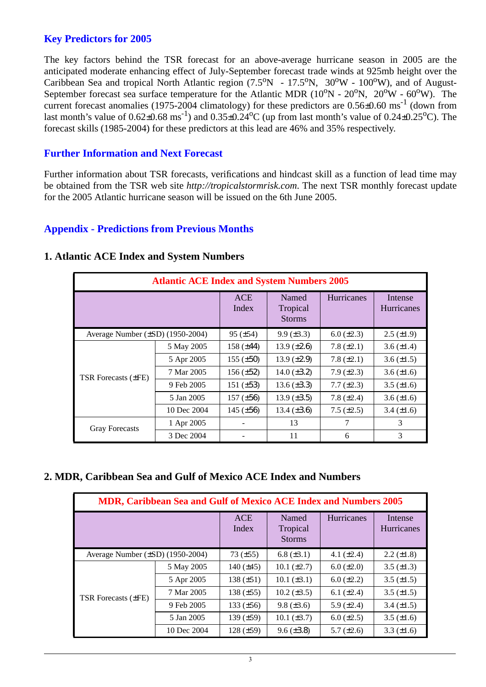#### **Key Predictors for 2005**

The key factors behind the TSR forecast for an above-average hurricane season in 2005 are the anticipated moderate enhancing effect of July-September forecast trade winds at 925mb height over the Caribbean Sea and tropical North Atlantic region  $(7.5^{\circ}N - 17.5^{\circ}N, 30^{\circ}W - 100^{\circ}W)$ , and of August-September forecast sea surface temperature for the Atlantic MDR  $(10^{\circ}N - 20^{\circ}N, 20^{\circ}W - 60^{\circ}W)$ . The current forecast anomalies (1975-2004 climatology) for these predictors are  $0.56\pm0.60$  ms<sup>-1</sup> (down from last month's value of  $0.62 \pm 0.68$  ms<sup>-1</sup>) and  $0.35 \pm 0.24$ <sup>o</sup>C (up from last month's value of  $0.24 \pm 0.25$ <sup>o</sup>C). The forecast skills (1985-2004) for these predictors at this lead are 46% and 35% respectively.

#### **Further Information and Next Forecast**

Further information about TSR forecasts, verifications and hindcast skill as a function of lead time may be obtained from the TSR web site *http://tropicalstormrisk.com*. The next TSR monthly forecast update for the 2005 Atlantic hurricane season will be issued on the 6th June 2005.

#### **Appendix - Predictions from Previous Months**

| <b>Atlantic ACE Index and System Numbers 2005</b> |             |                     |                                    |                   |                              |  |  |
|---------------------------------------------------|-------------|---------------------|------------------------------------|-------------------|------------------------------|--|--|
|                                                   |             | <b>ACE</b><br>Index | Named<br>Tropical<br><b>Storms</b> | <b>Hurricanes</b> | Intense<br><b>Hurricanes</b> |  |  |
| Average Number $(\pm SD)$ (1950-2004)             |             | $95 (\pm 54)$       | $9.9 \ (\pm 3.3)$                  | $6.0 (\pm 2.3)$   | $2.5 \ (\pm 1.9)$            |  |  |
|                                                   | 5 May 2005  | 158 $(\pm 44)$      | 13.9 $(\pm 2.6)$                   | 7.8 $(\pm 2.1)$   | 3.6 $(\pm 1.4)$              |  |  |
|                                                   | 5 Apr 2005  | $155 (\pm 50)$      | 13.9 $(\pm 2.9)$                   | 7.8 $(\pm 2.1)$   | $3.6 \, (\pm 1.5)$           |  |  |
| TSR Forecasts (±FE)                               | 7 Mar 2005  | 156 $(\pm 52)$      | 14.0 $(\pm 3.2)$                   | $7.9 \ (\pm 2.3)$ | $3.6 \, (\pm 1.6)$           |  |  |
|                                                   | 9 Feb 2005  | 151 $(\pm 53)$      | $13.6 (\pm 3.3)$                   | $7.7 (\pm 2.3)$   | $3.5 (\pm 1.6)$              |  |  |
|                                                   | 5 Jan 2005  | $157 (\pm 56)$      | $13.9 \ (\pm 3.5)$                 | 7.8 $(\pm 2.4)$   | $3.6 (\pm 1.6)$              |  |  |
|                                                   | 10 Dec 2004 | 145 $(\pm 56)$      | 13.4 $(\pm 3.6)$                   | $7.5 (\pm 2.5)$   | $3.4 \ (\pm 1.6)$            |  |  |
| <b>Gray Forecasts</b>                             | 1 Apr 2005  |                     | 13                                 | 7                 | 3                            |  |  |
|                                                   | 3 Dec 2004  |                     | 11                                 | 6                 | 3                            |  |  |

#### **1. Atlantic ACE Index and System Numbers**

#### **2. MDR, Caribbean Sea and Gulf of Mexico ACE Index and Numbers**

| <b>MDR, Caribbean Sea and Gulf of Mexico ACE Index and Numbers 2005</b> |             |                     |                                    |                   |                              |  |  |
|-------------------------------------------------------------------------|-------------|---------------------|------------------------------------|-------------------|------------------------------|--|--|
|                                                                         |             | <b>ACE</b><br>Index | Named<br>Tropical<br><b>Storms</b> | Hurricanes        | Intense<br><b>Hurricanes</b> |  |  |
| Average Number (±SD) (1950-2004)                                        |             | 73 $(\pm 55)$       | 6.8 $(\pm 3.1)$                    | 4.1 $(\pm 2.4)$   | $2.2 \ (\pm 1.8)$            |  |  |
| TSR Forecasts $(\pm FE)$                                                | 5 May 2005  | 140 $(\pm 45)$      | $10.1 (\pm 2.7)$                   | $6.0 \ (\pm 2.0)$ | 3.5 $(\pm 1.3)$              |  |  |
|                                                                         | 5 Apr 2005  | 138 $(\pm 51)$      | $10.1 (\pm 3.1)$                   | $6.0 (\pm 2.2)$   | $3.5 \ (\pm 1.5)$            |  |  |
|                                                                         | 7 Mar 2005  | 138 $(\pm 55)$      | $10.2 (\pm 3.5)$                   | 6.1 $(\pm 2.4)$   | 3.5 $(\pm 1.5)$              |  |  |
|                                                                         | 9 Feb 2005  | 133 $(\pm 56)$      | $9.8 (\pm 3.6)$                    | 5.9 $(\pm 2.4)$   | 3.4 $(\pm 1.5)$              |  |  |
|                                                                         | 5 Jan 2005  | 139 $(\pm 59)$      | $10.1 (\pm 3.7)$                   | $6.0 \ (\pm 2.5)$ | 3.5 $(\pm 1.6)$              |  |  |
|                                                                         | 10 Dec 2004 | $128 (\pm 59)$      | $9.6 (\pm 3.8)$                    | 5.7 $(\pm 2.6)$   | 3.3 $(\pm 1.6)$              |  |  |